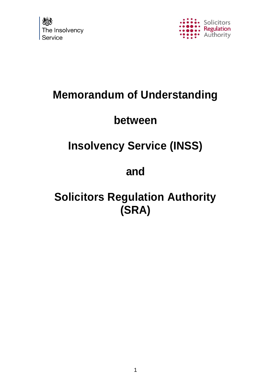



## **Memorandum of Understanding**

## **between**

# **Insolvency Service (INSS)**

## **and**

# **Solicitors Regulation Authority (SRA)**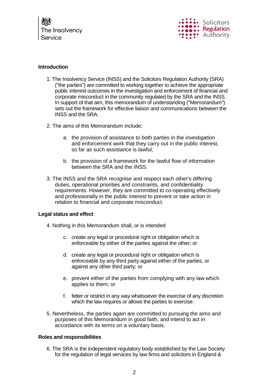



#### **Introduction**

- 1. The Insolvency Service (INSS) and the Solicitors Regulation Authority (SRA) ("the parties") are committed to working together to achieve the appropriate public interest outcomes in the investigation and enforcement of financial and corporate misconduct in the community regulated by the SRA and the INSS. In support of that aim, this memorandum of understanding ("Memorandum") sets out the framework for effective liaison and communications between the INSS and the SRA.
- 2. The aims of this Memorandum include:
	- a. the provision of assistance to both parties in the investigation and enforcement work that they carry out in the public interest, so far as such assistance is lawful;
	- b. the provision of a framework for the lawful flow of information between the SRA and the INSS.
- 3. The INSS and the SRA recognise and respect each other's differing duties, operational priorities and constraints, and confidentiality requirements. However, they are committed to co-operating effectively and professionally in the public interest to prevent or take action in relation to financial and corporate misconduct.

#### **Legal status and effect**

- 4. Nothing in this Memorandum shall, or is intended
	- c. create any legal or procedural right or obligation which is enforceable by either of the parties against the other; or
	- d. create any legal or procedural right or obligation which is enforceable by any third party against either of the parties, or against any other third party; or
	- e. prevent either of the parties from complying with any law which applies to them; or
	- f. fetter or restrict in any way whatsoever the exercise of any discretion which the law requires or allows the parties to exercise.
- 5. Nevertheless, the parties again are committed to pursuing the aims and purposes of this Memorandum in good faith, and intend to act in accordance with its terms on a voluntary basis.

#### **Roles and responsibilities**

6. The SRA is the independent regulatory body established by the Law Society for the regulation of legal services by law firms and solicitors in England &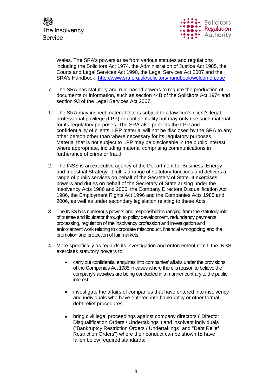



Wales. The SRA's powers arise from various statutes and regulations including the Solicitors Act 1974, the Administration of Justice Act 1985, the Courts and Legal Services Act 1990, the Legal Services Act 2007 and the SRA's Handbook:<http://www.sra.orq.uk/solicitors/handbook/welcome.paae>

- 7. The SRA has statutory and rule-based powers to require the production of documents or information, such as section 44B of the Solicitors Act 1974 and section 93 of the Legal Services Act 2007.
- 1. The SRA may inspect material that is subject to a law firm's client's legal professional privilege (LPP) or confidentiality but may only use such material for its regulatory purposes. The SRA also protects the LPP and confidentiality of clients. LPP material will not be disclosed by the SRA to any other person other than where necessary for its regulatory purposes. Material that is not subject to LPP may be disclosable in the public interest, where appropriate, including material comprising communications in furtherance of crime or fraud.
- 2. The INSS is an executive agency of the Department for Business, Energy and Industrial Strategy. It fulfils a range of statutory functions and delivers a range of public services on behalf of the Secretary of State. It exercises powers and duties on behalf of the Secretary of State arising under the Insolvency Acts 1986 and 2000, the Company Directors Disqualification Act 1986, the Employment Rights Act 1996 and the Companies Acts 1985 and 2006, as well as under secondary legislation relating to these Acts.
- 3. The INSS has numerous powers and responsibilities ranging from the statutory role of trustee and liquidator through to policy development, redundancy payments processing, regulation of the insolvency profession and investigation and enforcement work relating to corporate misconduct, financial wrongdoing and the promotion and protection of fair markets.
- 4. More specifically as regards its investigation and enforcement remit, the INSS exercises statutory powers to:
	- carry out confidential enquiries into companies' affairs under the provisions of the Companies Act 1985 in cases where there is reason to believe the company's activities are being conducted in a manner contrary to the public interest;
	- investigate the affairs of companies that have entered into insolvency and individuals who have entered into bankruptcy or other formal debt relief procedures;
	- bring civil legal proceedings against company directors ("Director Disqualification Orders / Undertakings") and insolvent individuals ("Bankruptcy Restriction Orders / Undertakings" and "Debt Relief Restriction Orders") where their conduct can be shown **to** have fallen below required standards;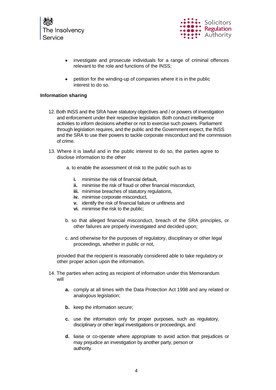



- investigate and prosecute individuals for a range of criminal offences relevant to the role and functions of the INSS;
- petition for the winding-up of companies where it is in the public interest to do so.

#### **Information sharing**

- 12. Both INSS and the SRA have statutory objectives and / or powers of investigation and enforcement under their respective legislation. Both conduct intelligence activities to inform decisions whether or not to exercise such powers. Parliament through legislation requires, and the public and the Government expect, the INSS and the SRA to use their powers to tackle corporate misconduct and the commission of crime.
- 13. Where it is lawful and in the public interest to do so, the parties agree to disclose information to the other
	- a. to enable the assessment of risk to the public such as to
		- **i.** minimise the risk of financial default,
		- **ii.** minimise the risk of fraud or other financial misconduct,
		- **iii.** minimise breaches of statutory regulations,
		- **iv.** minimise corporate misconduct,
		- **v.** identify the risk of financial failure or unfitness and
		- **vi.** minimise the risk to the public;
	- b. so that alleged financial misconduct, breach of the SRA principles, or other failures are properly investigated and decided upon;
	- c. and otherwise for the purposes of regulatory, disciplinary or other legal proceedings, whether in public or not,

provided that the recipient is reasonably considered able to take regulatory or other proper action upon the information.

- 14. The parties when acting as recipient of information under this Memorandum will
	- **a.** comply at all times with the Data Protection Act 1998 and any related or analogous legislation;
	- **b.** keep the information secure;
	- **c.** use the information only for proper purposes, such as regulatory, disciplinary or other legal investigations or proceedings, and
	- **d.** liaise or co-operate where appropriate to avoid action that prejudices or may prejudice an investigation by another party, person or authority.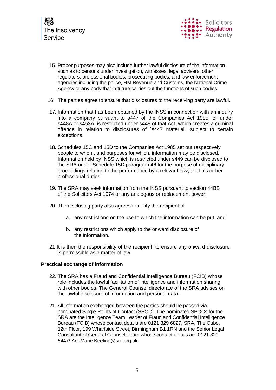



- 15. Proper purposes may also include further lawful disclosure of the information such as to persons under investigation, witnesses, legal advisers, other regulators, professional bodies, prosecuting bodies, and law enforcement agencies including the police, HM Revenue and Customs, the National Crime Agency or any body that in future carries out the functions of such bodies.
- 16. The parties agree to ensure that disclosures to the receiving party are lawful.
- 17. Information that has been obtained by the INSS in connection with an inquiry into a company pursuant to s447 of the Companies Act 1985, or under s448A or s453A, is restricted under s449 of that Act, which creates a criminal offence in relation to disclosures of `s447 material', subject to certain exceptions.
- 18. Schedules 15C and 15D to the Companies Act 1985 set out respectively people to whom, and purposes for which, information may be disclosed. Information held by INSS which is restricted under s449 can be disclosed to the SRA under Schedule 15D paragraph 46 for the purpose of disciplinary proceedings relating to the performance by a relevant lawyer of his or her professional duties.
- 19. The SRA may seek information from the INSS pursuant to section 44BB of the Solicitors Act 1974 or any analogous or replacement power.
- 20. The disclosing party also agrees to notify the recipient of
	- a. any restrictions on the use to which the information can be put, and
	- b. any restrictions which apply to the onward disclosure of the information.
- 21 It is then the responsibility of the recipient, to ensure any onward disclosure is permissible as a matter of law.

#### **Practical exchange of information**

- 22. The SRA has a Fraud and Confidential Intelligence Bureau (FCIB) whose role includes the lawful facilitation of intelligence and information sharing with other bodies. The General Counsel directorate of the SRA advises on the lawful disclosure of information and personal data.
- 21. All information exchanged between the parties should be passed via nominated Single Points of Contact (SPOC). The nominated SPOCs for the SRA are the Intelligence Team Leader of Fraud and Confidential Intelligence Bureau (FCIB) whose contact details are 0121 329 6827, SRA, The Cube, 12th Floor, 199 Wharfside Street, Birmingham B1 1RN and the Senior Legal Consultant of General Counsel Team whose contact details are 0121 329 6447/ AnnMarie.Keeling@sra.orq.uk.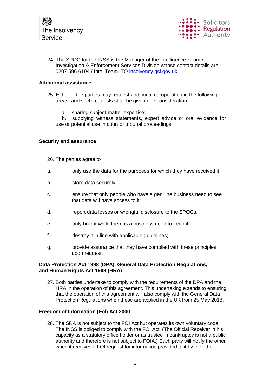

24. The SPOC for the INSS is the Manager of the Intelligence Team / Investigation & Enforcement Services Division whose contact details are 0207 596 6194 / Intel. Team ITO [insolvency.gsi.gov.uk.](http://insolvency.gsi.gov.uk/)

#### **Additional assistance**

- 25. Either of the parties may request additional co-operation in the following areas, and such requests shall be given due consideration:
	- a. sharing subject-matter expertise;

b. supplying witness statements, expert advice or oral evidence for use or potential use in court or tribunal proceedings.

#### **Security and assurance**

- 26. The parties agree to
- a. only use the data for the purposes for which they have received it;
- b. store data securely;
- c. ensure that only people who have a genuine business need to see that data will have access to it;
- d. report data losses or wrongful disclosure to the SPOCs.
- e. only hold it while there is a business need to keep it;
- f. destroy it in line with applicable guidelines;
- g. provide assurance that they have complied with these principles, upon request.

#### **Data Protection Act 1998 (DPA), General Data Protection Regulations, and Human Rights Act 1998 (HRA)**

27. Both parties undertake to comply with the requirements of the DPA and the HRA in the operation of this agreement. This undertaking extends to ensuring that the operation of this agreement will also comply with the General Data Protection Regulations when these are applied in the UK from 25 May 2018.

#### **Freedom of Information (Fol) Act 2000**

28. The SRA is not subject to the FOI Act but operates its own voluntary code. The INSS is obliged to comply with the FOI Act. (The Official Receiver in his capacity as a statutory office holder or as trustee in bankruptcy is not a public authority and therefore is not subject to FOIA.) Each party will notify the other when it receives a FOI request for information provided to it by the other